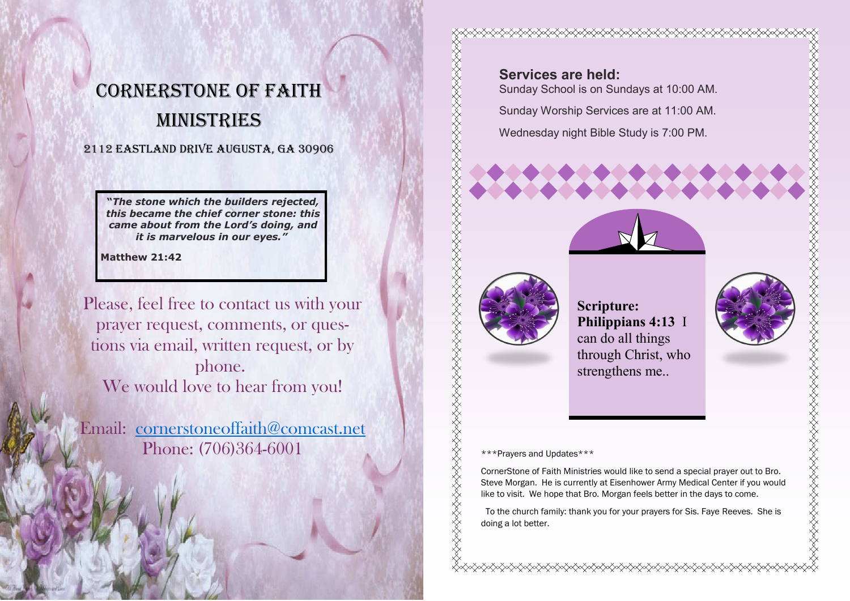## CORNERSTONE OF FAITH Ministries

### 2112 EastLand Drive Augusta, GA 30906

**"***The stone which the builders rejected, this became the chief corner stone: this came about from the Lord's doing, and it is marvelous in our eyes."*

**Matthew 21:42**

Please, feel free to contact us with your prayer request, comments, or questions via email, written request, or by phone. We would love to hear from you!

Email: [cornerstoneoffaith@comcast.net](mailto:cornerstoneoffaith@comcast.net) Phone: (706)364-6001

**Services are held:** Sunday School is on Sundays at 10:00 AM. Sunday Worship Services are at 11:00 AM. Wednesday night Bible Study is 7:00 PM.



XXXXXXXXXXXXXXXXXXXX

ERARDIA ERARDIA ERARDIA ERARDIA ERARDIA

**Scripture: Philippians 4:13** I can do all things through Christ, who strengthens me..

**KARARARARARARARARARARA** 

**the distrustion of the content of the content of the content of the content of the content of the content of t** 

#### \*\*\*Prayers and Updates\*\*\*

CornerStone of Faith Ministries would like to send a special prayer out to Bro. Steve Morgan. He is currently at Eisenhower Army Medical Center if you would like to visit. We hope that Bro. Morgan feels better in the days to come.

 To the church family: thank you for your prayers for Sis. Faye Reeves. She is doing a lot better.

**⋌⋌⋌⋌⋌⋌⋌⋌⋌⋌⋌⋌⋌⋌⋌⋌⋌⋌⋌⋌⋌⋌⋌⋌⋌⋌⋌**